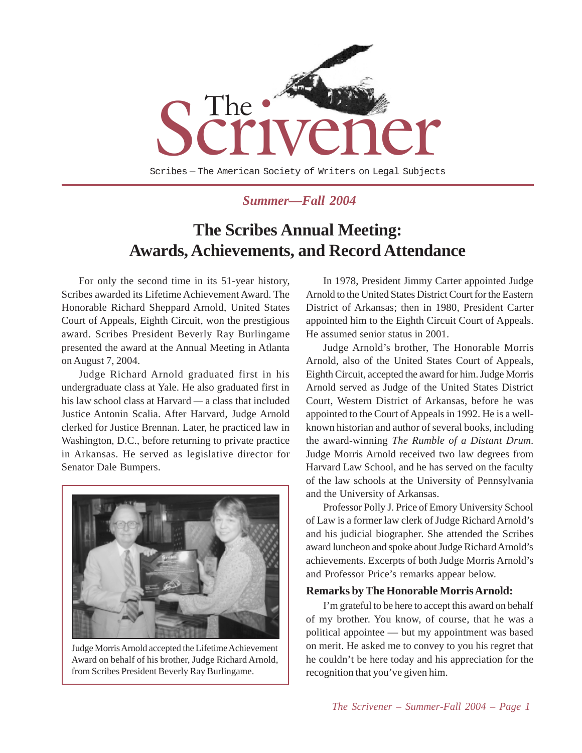

Scribes — The American Society of Writers on Legal Subjects

### *Summer—Fall 2004*

# **The Scribes Annual Meeting: Awards, Achievements, and Record Attendance**

For only the second time in its 51-year history, Scribes awarded its Lifetime Achievement Award. The Honorable Richard Sheppard Arnold, United States Court of Appeals, Eighth Circuit, won the prestigious award. Scribes President Beverly Ray Burlingame presented the award at the Annual Meeting in Atlanta on August 7, 2004.

Judge Richard Arnold graduated first in his undergraduate class at Yale. He also graduated first in his law school class at Harvard *—* a class that included Justice Antonin Scalia. After Harvard, Judge Arnold clerked for Justice Brennan. Later, he practiced law in Washington, D.C., before returning to private practice in Arkansas. He served as legislative director for Senator Dale Bumpers.



Judge Morris Arnold accepted the Lifetime Achievement Award on behalf of his brother, Judge Richard Arnold, from Scribes President Beverly Ray Burlingame.

In 1978, President Jimmy Carter appointed Judge Arnold to the United States District Court for the Eastern District of Arkansas; then in 1980, President Carter appointed him to the Eighth Circuit Court of Appeals. He assumed senior status in 2001.

Judge Arnold's brother, The Honorable Morris Arnold, also of the United States Court of Appeals, Eighth Circuit, accepted the award for him. Judge Morris Arnold served as Judge of the United States District Court, Western District of Arkansas, before he was appointed to the Court of Appeals in 1992. He is a wellknown historian and author of several books, including the award-winning *The Rumble of a Distant Drum*. Judge Morris Arnold received two law degrees from Harvard Law School, and he has served on the faculty of the law schools at the University of Pennsylvania and the University of Arkansas.

Professor Polly J. Price of Emory University School of Law is a former law clerk of Judge Richard Arnold's and his judicial biographer. She attended the Scribes award luncheon and spoke about Judge Richard Arnold's achievements. Excerpts of both Judge Morris Arnold's and Professor Price's remarks appear below.

### **Remarks by The Honorable Morris Arnold:**

I'm grateful to be here to accept this award on behalf of my brother. You know, of course, that he was a political appointee — but my appointment was based on merit. He asked me to convey to you his regret that he couldn't be here today and his appreciation for the recognition that you've given him.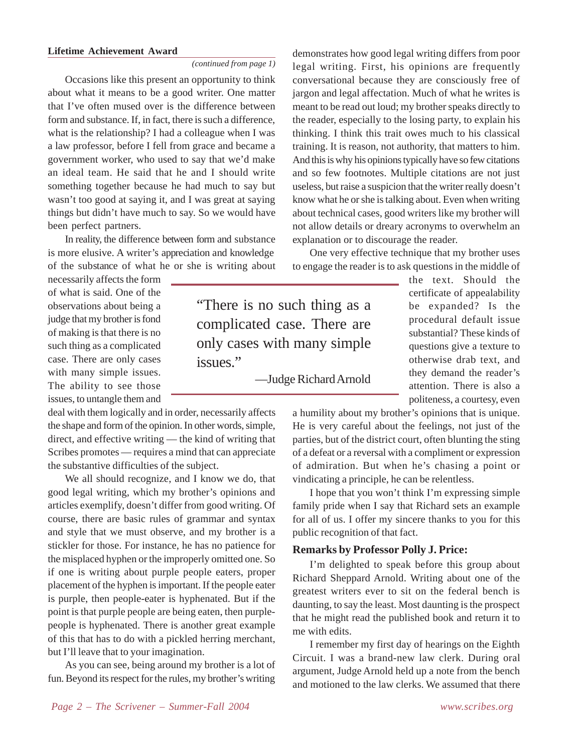### **Lifetime Achievement Award**

*(continued from page 1)*

Occasions like this present an opportunity to think about what it means to be a good writer. One matter that I've often mused over is the difference between form and substance. If, in fact, there is such a difference, what is the relationship? I had a colleague when I was a law professor, before I fell from grace and became a government worker, who used to say that we'd make an ideal team. He said that he and I should write something together because he had much to say but wasn't too good at saying it, and I was great at saying things but didn't have much to say. So we would have been perfect partners.

In reality, the difference between form and substance is more elusive. A writer's appreciation and knowledge of the substance of what he or she is writing about

necessarily affects the form of what is said. One of the observations about being a judge that my brother is fond of making is that there is no such thing as a complicated case. There are only cases with many simple issues. The ability to see those issues, to untangle them and

deal with them logically and in order, necessarily affects the shape and form of the opinion. In other words, simple, direct, and effective writing — the kind of writing that Scribes promotes — requires a mind that can appreciate the substantive difficulties of the subject.

We all should recognize, and I know we do, that good legal writing, which my brother's opinions and articles exemplify, doesn't differ from good writing. Of course, there are basic rules of grammar and syntax and style that we must observe, and my brother is a stickler for those. For instance, he has no patience for the misplaced hyphen or the improperly omitted one. So if one is writing about purple people eaters, proper placement of the hyphen is important. If the people eater is purple, then people-eater is hyphenated. But if the point is that purple people are being eaten, then purplepeople is hyphenated. There is another great example of this that has to do with a pickled herring merchant, but I'll leave that to your imagination.

As you can see, being around my brother is a lot of fun. Beyond its respect for the rules, my brother's writing

demonstrates how good legal writing differs from poor legal writing. First, his opinions are frequently conversational because they are consciously free of jargon and legal affectation. Much of what he writes is meant to be read out loud; my brother speaks directly to the reader, especially to the losing party, to explain his thinking. I think this trait owes much to his classical training. It is reason, not authority, that matters to him. And this is why his opinions typically have so few citations and so few footnotes. Multiple citations are not just useless, but raise a suspicion that the writer really doesn't know what he or she is talking about. Even when writing about technical cases, good writers like my brother will not allow details or dreary acronyms to overwhelm an explanation or to discourage the reader.

One very effective technique that my brother uses to engage the reader is to ask questions in the middle of

"There is no such thing as a complicated case. There are only cases with many simple issues."

—Judge Richard Arnold

the text. Should the certificate of appealability be expanded? Is the procedural default issue substantial? These kinds of questions give a texture to otherwise drab text, and they demand the reader's attention. There is also a politeness, a courtesy, even

a humility about my brother's opinions that is unique. He is very careful about the feelings, not just of the parties, but of the district court, often blunting the sting of a defeat or a reversal with a compliment or expression of admiration. But when he's chasing a point or vindicating a principle, he can be relentless.

I hope that you won't think I'm expressing simple family pride when I say that Richard sets an example for all of us. I offer my sincere thanks to you for this public recognition of that fact.

### **Remarks by Professor Polly J. Price:**

I'm delighted to speak before this group about Richard Sheppard Arnold. Writing about one of the greatest writers ever to sit on the federal bench is daunting, to say the least. Most daunting is the prospect that he might read the published book and return it to me with edits.

I remember my first day of hearings on the Eighth Circuit. I was a brand-new law clerk. During oral argument, Judge Arnold held up a note from the bench and motioned to the law clerks. We assumed that there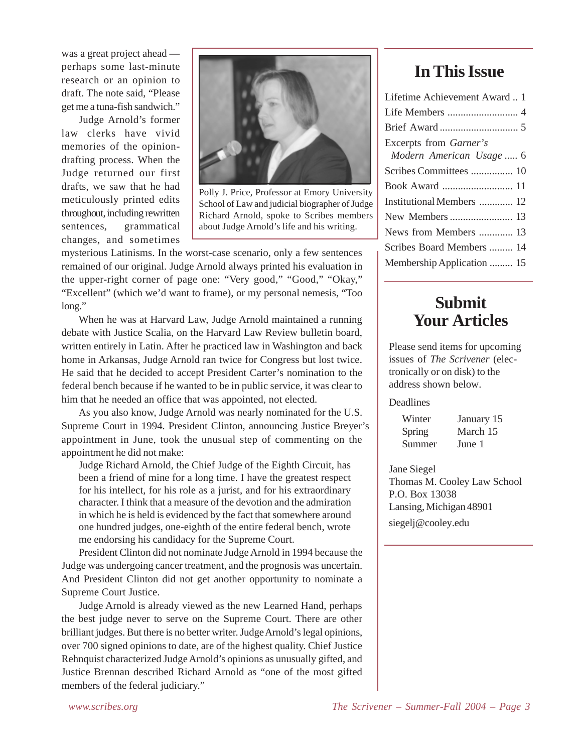was a great project ahead perhaps some last-minute research or an opinion to draft. The note said, "Please get me a tuna-fish sandwich."

Judge Arnold's former law clerks have vivid memories of the opiniondrafting process. When the Judge returned our first drafts, we saw that he had meticulously printed edits throughout, including rewritten sentences, grammatical changes, and sometimes



Polly J. Price, Professor at Emory University School of Law and judicial biographer of Judge Richard Arnold, spoke to Scribes members about Judge Arnold's life and his writing.

mysterious Latinisms. In the worst-case scenario, only a few sentences remained of our original. Judge Arnold always printed his evaluation in the upper-right corner of page one: "Very good," "Good," "Okay," "Excellent" (which we'd want to frame), or my personal nemesis, "Too long."

When he was at Harvard Law, Judge Arnold maintained a running debate with Justice Scalia, on the Harvard Law Review bulletin board, written entirely in Latin. After he practiced law in Washington and back home in Arkansas, Judge Arnold ran twice for Congress but lost twice. He said that he decided to accept President Carter's nomination to the federal bench because if he wanted to be in public service, it was clear to him that he needed an office that was appointed, not elected.

As you also know, Judge Arnold was nearly nominated for the U.S. Supreme Court in 1994. President Clinton, announcing Justice Breyer's appointment in June, took the unusual step of commenting on the appointment he did not make:

Judge Richard Arnold, the Chief Judge of the Eighth Circuit, has been a friend of mine for a long time. I have the greatest respect for his intellect, for his role as a jurist, and for his extraordinary character. I think that a measure of the devotion and the admiration in which he is held is evidenced by the fact that somewhere around one hundred judges, one-eighth of the entire federal bench, wrote me endorsing his candidacy for the Supreme Court.

President Clinton did not nominate Judge Arnold in 1994 because the Judge was undergoing cancer treatment, and the prognosis was uncertain. And President Clinton did not get another opportunity to nominate a Supreme Court Justice.

Judge Arnold is already viewed as the new Learned Hand, perhaps the best judge never to serve on the Supreme Court. There are other brilliant judges. But there is no better writer. Judge Arnold's legal opinions, over 700 signed opinions to date, are of the highest quality. Chief Justice Rehnquist characterized Judge Arnold's opinions as unusually gifted, and Justice Brennan described Richard Arnold as "one of the most gifted members of the federal judiciary."

# **In This Issue**

| Lifetime Achievement Award  1 |
|-------------------------------|
|                               |
|                               |
| Excerpts from Garner's        |
| Modern American Usage  6      |
| Scribes Committees  10        |
| Book Award  11                |
| Institutional Members  12     |
|                               |
| News from Members  13         |
| Scribes Board Members  14     |
| Membership Application  15    |

# **Submit Your Articles**

Please send items for upcoming issues of *The Scrivener* (electronically or on disk) to the address shown below.

**Deadlines** 

| Winter | January 15 |
|--------|------------|
| Spring | March 15   |
| Summer | June 1     |

Jane Siegel Thomas M. Cooley Law School P.O. Box 13038 Lansing, Michigan 48901 siegelj@cooley.edu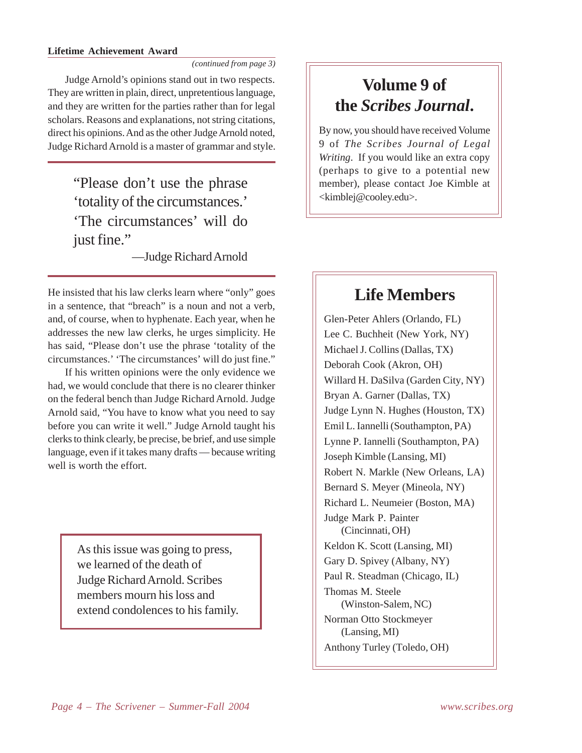### **Lifetime Achievement Award**

*(continued from page 3)*

Judge Arnold's opinions stand out in two respects. They are written in plain, direct, unpretentious language, and they are written for the parties rather than for legal scholars. Reasons and explanations, not string citations, direct his opinions. And as the other Judge Arnold noted, Judge Richard Arnold is a master of grammar and style.

> "Please don't use the phrase 'totality of the circumstances.' 'The circumstances' will do just fine."

> > —Judge Richard Arnold

He insisted that his law clerks learn where "only" goes in a sentence, that "breach" is a noun and not a verb, and, of course, when to hyphenate. Each year, when he addresses the new law clerks, he urges simplicity. He has said, "Please don't use the phrase 'totality of the circumstances.' 'The circumstances' will do just fine."

If his written opinions were the only evidence we had, we would conclude that there is no clearer thinker on the federal bench than Judge Richard Arnold. Judge Arnold said, "You have to know what you need to say before you can write it well." Judge Arnold taught his clerks to think clearly, be precise, be brief, and use simple language, even if it takes many drafts — because writing well is worth the effort.

> As this issue was going to press, we learned of the death of Judge Richard Arnold. Scribes members mourn his loss and extend condolences to his family.

# **Volume 9 of the** *Scribes Journal***.**

By now, you should have received Volume 9 of *The Scribes Journal of Legal Writing*. If you would like an extra copy (perhaps to give to a potential new member), please contact Joe Kimble at <kimblej@cooley.edu>.

# **Life Members**

Glen-Peter Ahlers (Orlando, FL) Lee C. Buchheit (New York, NY) Michael J. Collins (Dallas, TX) Deborah Cook (Akron, OH) Willard H. DaSilva (Garden City, NY) Bryan A. Garner (Dallas, TX) Judge Lynn N. Hughes (Houston, TX) Emil L. Iannelli (Southampton, PA) Lynne P. Iannelli (Southampton, PA) Joseph Kimble (Lansing, MI) Robert N. Markle (New Orleans, LA) Bernard S. Meyer (Mineola, NY) Richard L. Neumeier (Boston, MA) Judge Mark P. Painter (Cincinnati, OH) Keldon K. Scott (Lansing, MI) Gary D. Spivey (Albany, NY) Paul R. Steadman (Chicago, IL) Thomas M. Steele (Winston-Salem, NC) Norman Otto Stockmeyer (Lansing, MI) Anthony Turley (Toledo, OH)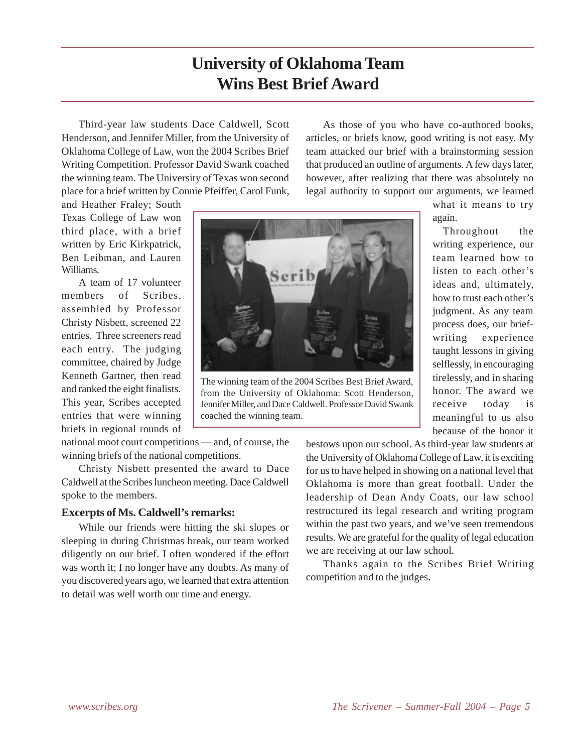# **University of Oklahoma Team Wins Best Brief Award**

Third-year law students Dace Caldwell, Scott Henderson, and Jennifer Miller, from the University of Oklahoma College of Law, won the 2004 Scribes Brief Writing Competition. Professor David Swank coached the winning team. The University of Texas won second place for a brief written by Connie Pfeiffer, Carol Funk,

As those of you who have co-authored books, articles, or briefs know, good writing is not easy. My team attacked our brief with a brainstorming session that produced an outline of arguments. A few days later, however, after realizing that there was absolutely no legal authority to support our arguments, we learned

and Heather Fraley; South Texas College of Law won third place, with a brief written by Eric Kirkpatrick, Ben Leibman, and Lauren Williams.

A team of 17 volunteer members of Scribes, assembled by Professor Christy Nisbett, screened 22 entries. Three screeners read each entry. The judging committee, chaired by Judge Kenneth Gartner, then read and ranked the eight finalists. This year, Scribes accepted entries that were winning briefs in regional rounds of

national moot court competitions — and, of course, the winning briefs of the national competitions.

Christy Nisbett presented the award to Dace Caldwell at the Scribes luncheon meeting. Dace Caldwell spoke to the members.

### **Excerpts of Ms. Caldwell's remarks:**

While our friends were hitting the ski slopes or sleeping in during Christmas break, our team worked diligently on our brief. I often wondered if the effort was worth it; I no longer have any doubts. As many of you discovered years ago, we learned that extra attention to detail was well worth our time and energy.

what it means to try again.

Throughout the writing experience, our team learned how to listen to each other's ideas and, ultimately, how to trust each other's judgment. As any team process does, our briefwriting experience taught lessons in giving selflessly, in encouraging tirelessly, and in sharing honor. The award we receive today is meaningful to us also because of the honor it

bestows upon our school. As third-year law students at the University of Oklahoma College of Law, it is exciting for us to have helped in showing on a national level that Oklahoma is more than great football. Under the leadership of Dean Andy Coats, our law school restructured its legal research and writing program within the past two years, and we've seen tremendous results. We are grateful for the quality of legal education we are receiving at our law school.

Thanks again to the Scribes Brief Writing competition and to the judges.



Jennifer Miller, and Dace Caldwell. Professor David Swank

coached the winning team.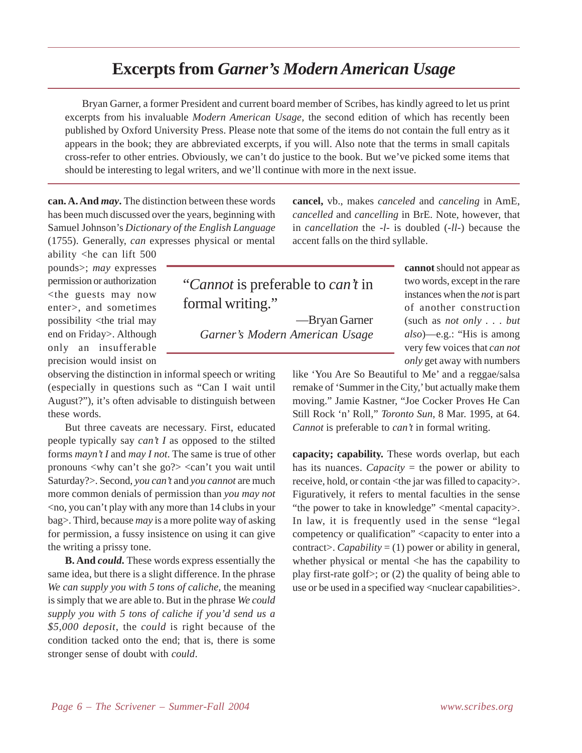# **Excerpts from** *Garner's Modern American Usage*

Bryan Garner, a former President and current board member of Scribes, has kindly agreed to let us print excerpts from his invaluable *Modern American Usage*, the second edition of which has recently been published by Oxford University Press. Please note that some of the items do not contain the full entry as it appears in the book; they are abbreviated excerpts, if you will. Also note that the terms in small capitals cross-refer to other entries. Obviously, we can't do justice to the book. But we've picked some items that should be interesting to legal writers, and we'll continue with more in the next issue.

**can. A. And** *may***.** The distinction between these words has been much discussed over the years, beginning with Samuel Johnson's *Dictionary of the English Language* (1755). Generally, *can* expresses physical or mental

ability <he can lift 500 pounds>; *may* expresses permission or authorization <the guests may now enter>, and sometimes possibility <the trial may end on Friday>. Although only an insufferable precision would insist on

observing the distinction in informal speech or writing (especially in questions such as "Can I wait until August?"), it's often advisable to distinguish between these words.

But three caveats are necessary. First, educated people typically say *can't I* as opposed to the stilted forms *mayn't I* and *may I not*. The same is true of other pronouns <why can't she go?> <can't you wait until Saturday?>. Second, *you can't* and *you cannot* are much more common denials of permission than *you may not* <no, you can't play with any more than 14 clubs in your bag>. Third, because *may* is a more polite way of asking for permission, a fussy insistence on using it can give the writing a prissy tone.

**B. And** *could***.** These words express essentially the same idea, but there is a slight difference. In the phrase *We can supply you with 5 tons of caliche*, the meaning is simply that we are able to. But in the phrase *We could supply you with 5 tons of caliche if you'd send us a \$5,000 deposit*, the *could* is right because of the condition tacked onto the end; that is, there is some stronger sense of doubt with *could*.

**cancel,** vb., makes *canceled* and *canceling* in AmE, *cancelled* and *cancelling* in BrE. Note, however, that in *cancellation* the *-l-* is doubled (*-ll-*) because the accent falls on the third syllable.

### "*Cannot* is preferable to *can't* in formal writing."

—Bryan Garner *Garner's Modern American Usage*

**cannot** should not appear as two words, except in the rare instances when the *not* is part of another construction (such as *not only . . . but also*)—e.g.: "His is among very few voices that *can not only* get away with numbers

like 'You Are So Beautiful to Me' and a reggae/salsa remake of 'Summer in the City,' but actually make them moving." Jamie Kastner, "Joe Cocker Proves He Can Still Rock 'n' Roll," *Toronto Sun*, 8 Mar. 1995, at 64. *Cannot* is preferable to *can't* in formal writing.

**capacity; capability.** These words overlap, but each has its nuances. *Capacity* = the power or ability to receive, hold, or contain <the jar was filled to capacity>. Figuratively, it refers to mental faculties in the sense "the power to take in knowledge" <mental capacity>. In law, it is frequently used in the sense "legal competency or qualification" <capacity to enter into a contract>. *Capability* = (1) power or ability in general, whether physical or mental <he has the capability to play first-rate golf>; or (2) the quality of being able to use or be used in a specified way <nuclear capabilities>.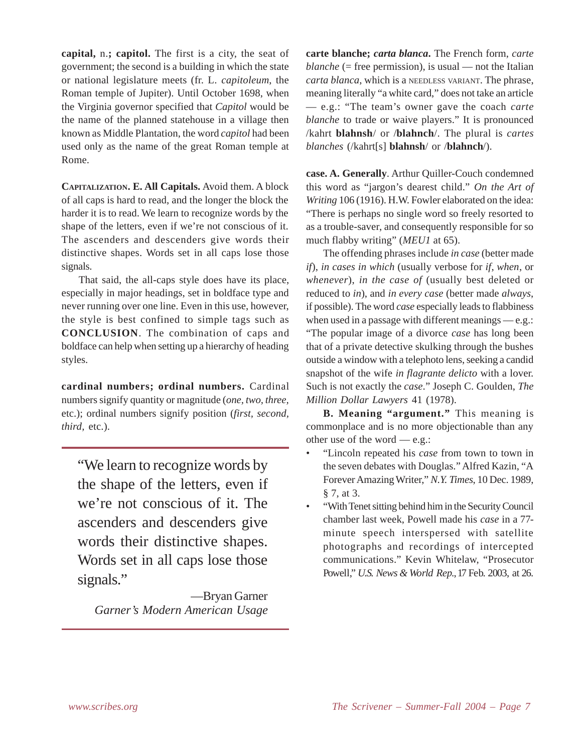**capital,** n.**; capitol.** The first is a city, the seat of government; the second is a building in which the state or national legislature meets (fr. L. *capitoleum*, the Roman temple of Jupiter). Until October 1698, when the Virginia governor specified that *Capitol* would be the name of the planned statehouse in a village then known as Middle Plantation, the word *capitol* had been used only as the name of the great Roman temple at Rome.

**CAPITALIZATION. E. All Capitals.** Avoid them. A block of all caps is hard to read, and the longer the block the harder it is to read. We learn to recognize words by the shape of the letters, even if we're not conscious of it. The ascenders and descenders give words their distinctive shapes. Words set in all caps lose those signals.

That said, the all-caps style does have its place, especially in major headings, set in boldface type and never running over one line. Even in this use, however, the style is best confined to simple tags such as **CONCLUSION**. The combination of caps and boldface can help when setting up a hierarchy of heading styles.

**cardinal numbers; ordinal numbers.** Cardinal numbers signify quantity or magnitude (*one, two, three,* etc.); ordinal numbers signify position (*first, second, third,* etc.).

"We learn to recognize words by the shape of the letters, even if we're not conscious of it. The ascenders and descenders give words their distinctive shapes. Words set in all caps lose those signals."

—Bryan Garner *Garner's Modern American Usage* **carte blanche;** *carta blanca***.** The French form, *carte blanche* (= free permission), is usual — not the Italian *carta blanca*, which is a NEEDLESS VARIANT. The phrase, meaning literally "a white card," does not take an article — e.g.: "The team's owner gave the coach *carte blanche* to trade or waive players." It is pronounced /kahrt **blahnsh**/ or /**blahnch**/. The plural is *cartes blanches* (/kahrt[s] **blahnsh**/ or /**blahnch**/).

**case. A. Generally**. Arthur Quiller-Couch condemned this word as "jargon's dearest child." *On the Art of Writing* 106 (1916). H.W. Fowler elaborated on the idea: "There is perhaps no single word so freely resorted to as a trouble-saver, and consequently responsible for so much flabby writing" (*MEU1* at 65).

The offending phrases include *in case* (better made *if*), *in cases in which* (usually verbose for *if*, *when*, or *whenever*), *in the case of* (usually best deleted or reduced to *in*), and *in every case* (better made *always*, if possible). The word *case* especially leads to flabbiness when used in a passage with different meanings — e.g.: "The popular image of a divorce *case* has long been that of a private detective skulking through the bushes outside a window with a telephoto lens, seeking a candid snapshot of the wife *in flagrante delicto* with a lover. Such is not exactly the *case*." Joseph C. Goulden, *The Million Dollar Lawyers* 41 (1978).

**B. Meaning "argument."** This meaning is commonplace and is no more objectionable than any other use of the word — e.g.:

- "Lincoln repeated his *case* from town to town in the seven debates with Douglas." Alfred Kazin, "A Forever Amazing Writer," *N.Y. Times*, 10 Dec. 1989, § 7, at 3.
- "With Tenet sitting behind him in the Security Council chamber last week, Powell made his *case* in a 77 minute speech interspersed with satellite photographs and recordings of intercepted communications." Kevin Whitelaw, "Prosecutor Powell," *U.S. News & World Rep*., 17 Feb. 2003, at 26.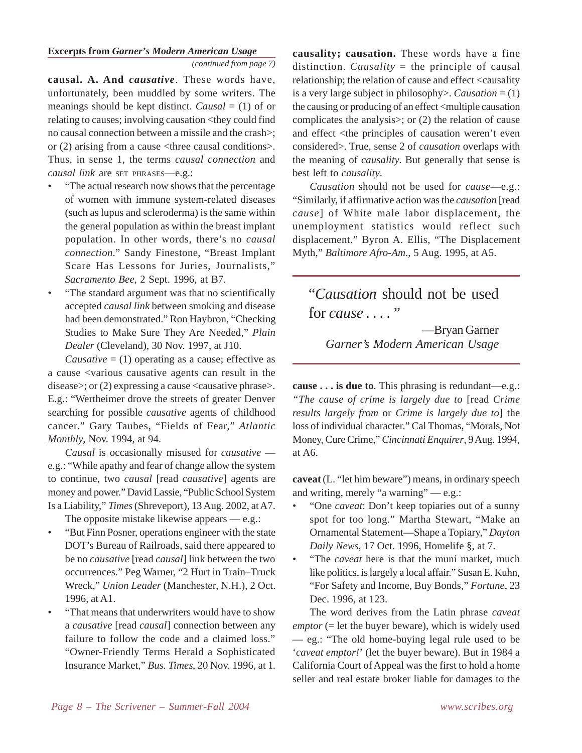### **Excerpts from** *Garner's Modern American Usage*

*(continued from page 7)*

**causal. A. And** *causative*. These words have, unfortunately, been muddled by some writers. The meanings should be kept distinct. *Causal* = (1) of or relating to causes; involving causation <they could find no causal connection between a missile and the crash>; or (2) arising from a cause <three causal conditions>. Thus, in sense 1, the terms *causal connection* and *causal link* are SET PHRASES—e.g.:

- "The actual research now shows that the percentage of women with immune system-related diseases (such as lupus and scleroderma) is the same within the general population as within the breast implant population. In other words, there's no *causal connection*." Sandy Finestone, "Breast Implant Scare Has Lessons for Juries, Journalists," *Sacramento Bee*, 2 Sept. 1996, at B7.
- "The standard argument was that no scientifically accepted *causal link* between smoking and disease had been demonstrated." Ron Haybron, "Checking Studies to Make Sure They Are Needed," *Plain Dealer* (Cleveland), 30 Nov. 1997, at J10.

*Causative*  $= (1)$  operating as a cause; effective as a cause <various causative agents can result in the disease>; or  $(2)$  expressing a cause <causative phrase>. E.g.: "Wertheimer drove the streets of greater Denver searching for possible *causative* agents of childhood cancer." Gary Taubes, "Fields of Fear," *Atlantic Monthly*, Nov. 1994, at 94.

*Causal* is occasionally misused for *causative*  e.g.: "While apathy and fear of change allow the system to continue, two *causal* [read *causative*] agents are money and power." David Lassie, "Public School System Is a Liability," *Times* (Shreveport), 13 Aug. 2002, at A7.

The opposite mistake likewise appears — e.g.:

- "But Finn Posner, operations engineer with the state DOT's Bureau of Railroads, said there appeared to be no *causative* [read *causal*] link between the two occurrences." Peg Warner, "2 Hurt in Train–Truck Wreck," *Union Leader* (Manchester, N.H.), 2 Oct. 1996, at A1.
- "That means that underwriters would have to show a *causative* [read *causal*] connection between any failure to follow the code and a claimed loss." "Owner-Friendly Terms Herald a Sophisticated Insurance Market," *Bus. Times*, 20 Nov. 1996, at 1.

**causality; causation.** These words have a fine distinction. *Causality* = the principle of causal relationship; the relation of cause and effect <causality is a very large subject in philosophy>. *Causation* = (1) the causing or producing of an effect <multiple causation complicates the analysis>; or (2) the relation of cause and effect <the principles of causation weren't even considered>. True, sense 2 of *causation* overlaps with the meaning of *causality*. But generally that sense is best left to *causality*.

*Causation* should not be used for *cause*—e.g.: "Similarly, if affirmative action was the *causation* [read *cause*] of White male labor displacement, the unemployment statistics would reflect such displacement." Byron A. Ellis, "The Displacement Myth," *Baltimore Afro-Am*., 5 Aug. 1995, at A5.

"*Causation* should not be used for *cause* . . . . " —Bryan Garner

*Garner's Modern American Usage*

**cause . . . is due to**. This phrasing is redundant—e.g.: *"The cause of crime is largely due to* [read *Crime results largely from* or *Crime is largely due to*] the loss of individual character." Cal Thomas, "Morals, Not Money, Cure Crime," *Cincinnati Enquirer*, 9 Aug. 1994, at A6.

**caveat** (L. "let him beware") means, in ordinary speech and writing, merely "a warning" — e.g.:

- "One *caveat*: Don't keep topiaries out of a sunny spot for too long." Martha Stewart, "Make an Ornamental Statement—Shape a Topiary," *Dayton Daily News*, 17 Oct. 1996, Homelife §, at 7.
- "The *caveat* here is that the muni market, much like politics, is largely a local affair." Susan E. Kuhn, "For Safety and Income, Buy Bonds," *Fortune*, 23 Dec. 1996, at 123.

The word derives from the Latin phrase *caveat emptor* (= let the buyer beware), which is widely used — eg.: "The old home-buying legal rule used to be '*caveat emptor!*' (let the buyer beware). But in 1984 a California Court of Appeal was the first to hold a home seller and real estate broker liable for damages to the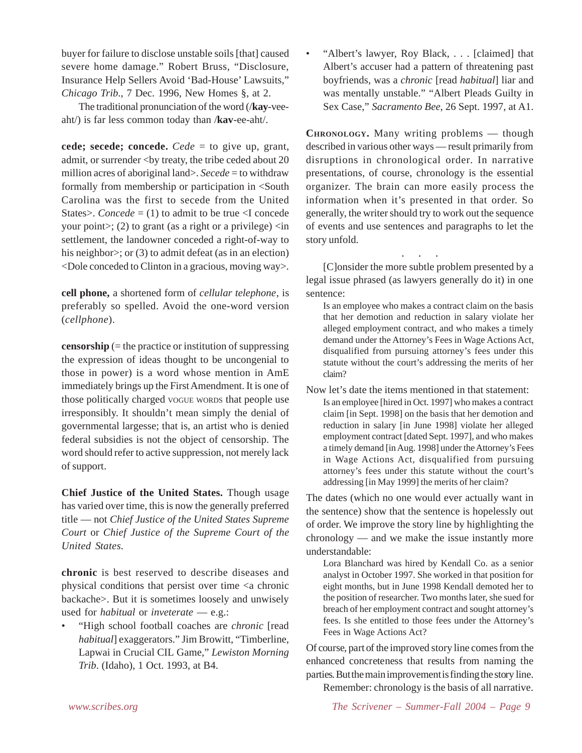buyer for failure to disclose unstable soils [that] caused severe home damage." Robert Bruss, "Disclosure, Insurance Help Sellers Avoid 'Bad-House' Lawsuits," *Chicago Trib*., 7 Dec. 1996, New Homes §, at 2.

The traditional pronunciation of the word (/**kay**-veeaht/) is far less common today than /**kav**-ee-aht/.

**cede; secede; concede.** *Cede* = to give up, grant, admit, or surrender <by treaty, the tribe ceded about 20 million acres of aboriginal land>. *Secede* = to withdraw formally from membership or participation in <South Carolina was the first to secede from the United States>. *Concede* = (1) to admit to be true  $\leq$ I concede your point>; (2) to grant (as a right or a privilege)  $\langle$ in settlement, the landowner conceded a right-of-way to his neighbor>; or (3) to admit defeat (as in an election) <Dole conceded to Clinton in a gracious, moving way>.

**cell phone,** a shortened form of *cellular telephone*, is preferably so spelled. Avoid the one-word version (*cellphone*).

**censorship** ( $=$  the practice or institution of suppressing the expression of ideas thought to be uncongenial to those in power) is a word whose mention in AmE immediately brings up the First Amendment. It is one of those politically charged VOGUE WORDS that people use irresponsibly. It shouldn't mean simply the denial of governmental largesse; that is, an artist who is denied federal subsidies is not the object of censorship. The word should refer to active suppression, not merely lack of support.

**Chief Justice of the United States.** Though usage has varied over time, this is now the generally preferred title — not *Chief Justice of the United States Supreme Court* or *Chief Justice of the Supreme Court of the United States*.

**chronic** is best reserved to describe diseases and physical conditions that persist over time <a chronic backache>. But it is sometimes loosely and unwisely used for *habitual* or *inveterate* — e.g.:

• "High school football coaches are *chronic* [read *habitual*] exaggerators." Jim Browitt, "Timberline, Lapwai in Crucial CIL Game," *Lewiston Morning Trib*. (Idaho), 1 Oct. 1993, at B4.

• "Albert's lawyer, Roy Black, . . . [claimed] that Albert's accuser had a pattern of threatening past boyfriends, was a *chronic* [read *habitual*] liar and was mentally unstable." "Albert Pleads Guilty in Sex Case," *Sacramento Bee*, 26 Sept. 1997, at A1.

**CHRONOLOGY.** Many writing problems — though described in various other ways — result primarily from disruptions in chronological order. In narrative presentations, of course, chronology is the essential organizer. The brain can more easily process the information when it's presented in that order. So generally, the writer should try to work out the sequence of events and use sentences and paragraphs to let the story unfold.

. . . . . [C]onsider the more subtle problem presented by a legal issue phrased (as lawyers generally do it) in one sentence:

Is an employee who makes a contract claim on the basis that her demotion and reduction in salary violate her alleged employment contract, and who makes a timely demand under the Attorney's Fees in Wage Actions Act, disqualified from pursuing attorney's fees under this statute without the court's addressing the merits of her claim?

Now let's date the items mentioned in that statement:

Is an employee [hired in Oct. 1997] who makes a contract claim [in Sept. 1998] on the basis that her demotion and reduction in salary [in June 1998] violate her alleged employment contract [dated Sept. 1997], and who makes a timely demand [in Aug. 1998] under the Attorney's Fees in Wage Actions Act, disqualified from pursuing attorney's fees under this statute without the court's addressing [in May 1999] the merits of her claim?

The dates (which no one would ever actually want in the sentence) show that the sentence is hopelessly out of order. We improve the story line by highlighting the chronology — and we make the issue instantly more understandable:

Lora Blanchard was hired by Kendall Co. as a senior analyst in October 1997. She worked in that position for eight months, but in June 1998 Kendall demoted her to the position of researcher. Two months later, she sued for breach of her employment contract and sought attorney's fees. Is she entitled to those fees under the Attorney's Fees in Wage Actions Act?

Of course, part of the improved story line comes from the enhanced concreteness that results from naming the parties. But the main improvement is finding the story line. Remember: chronology is the basis of all narrative.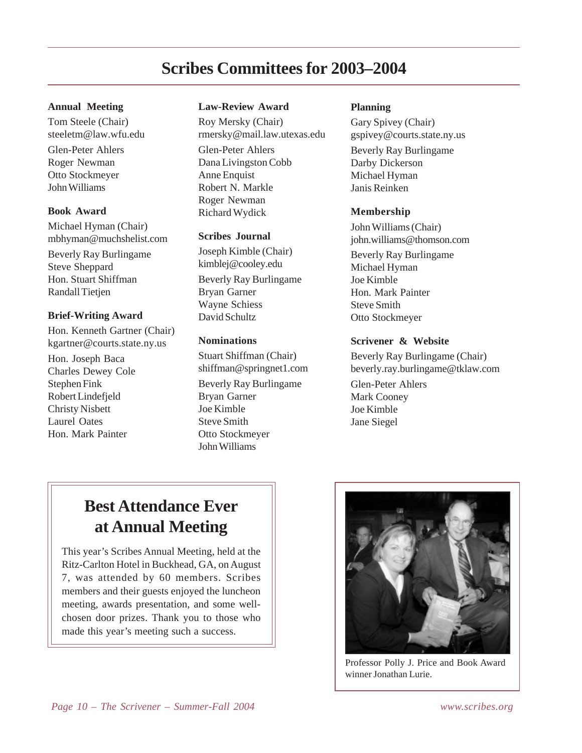# **Scribes Committees for 2003–2004**

### **Annual Meeting**

Tom Steele (Chair) steeletm@law.wfu.edu Glen-Peter Ahlers Roger Newman Otto Stockmeyer John Williams

### **Book Award**

Michael Hyman (Chair) mbhyman@muchshelist.com Beverly Ray Burlingame Steve Sheppard Hon. Stuart Shiffman Randall Tietien

### **Brief-Writing Award**

Hon. Kenneth Gartner (Chair) kgartner@courts.state.ny.us

Hon. Joseph Baca Charles Dewey Cole Stephen Fink Robert Lindefjeld Christy Nisbett Laurel Oates Hon. Mark Painter

### **Law-Review Award**

Roy Mersky (Chair) rmersky@mail.law.utexas.edu Glen-Peter Ahlers Dana Livingston Cobb Anne Enquist Robert N. Markle Roger Newman Richard Wydick

### **Scribes Journal**

Joseph Kimble (Chair) kimblej@cooley.edu Beverly Ray Burlingame Bryan Garner Wayne Schiess David Schultz

### **Nominations**

Stuart Shiffman (Chair) shiffman@springnet1.com Beverly Ray Burlingame Bryan Garner Joe Kimble Steve Smith Otto Stockmeyer John Williams

### **Planning**

Gary Spivey (Chair) gspivey@courts.state.ny.us

Beverly Ray Burlingame Darby Dickerson Michael Hyman Janis Reinken

### **Membership**

John Williams (Chair) john.williams@thomson.com

Beverly Ray Burlingame Michael Hyman Joe Kimble Hon. Mark Painter Steve Smith Otto Stockmeyer

### **Scrivener & Website**

Beverly Ray Burlingame (Chair) beverly.ray.burlingame@tklaw.com

Glen-Peter Ahlers Mark Cooney Joe Kimble Jane Siegel

# **Best Attendance Ever at Annual Meeting**

This year's Scribes Annual Meeting, held at the Ritz-Carlton Hotel in Buckhead, GA, on August 7, was attended by 60 members. Scribes members and their guests enjoyed the luncheon meeting, awards presentation, and some wellchosen door prizes. Thank you to those who made this year's meeting such a success.



Professor Polly J. Price and Book Award winner Jonathan Lurie.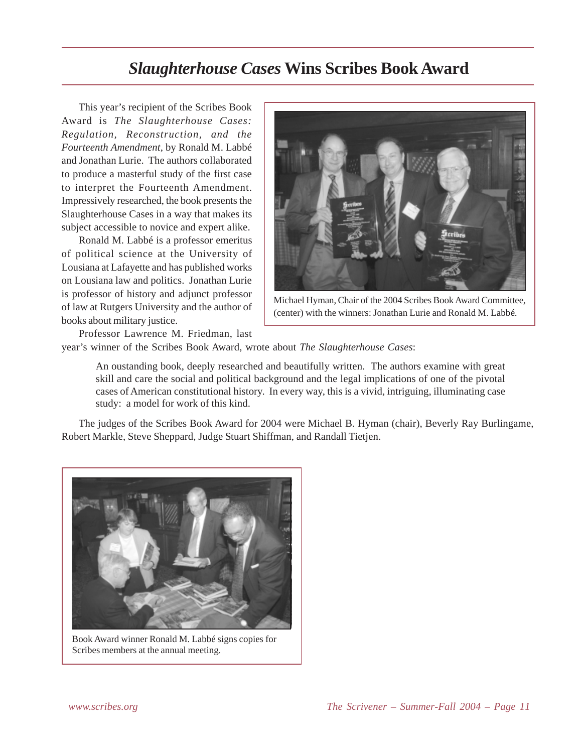# *Slaughterhouse Cases* **Wins Scribes Book Award**

This year's recipient of the Scribes Book Award is *The Slaughterhouse Cases: Regulation, Reconstruction, and the Fourteenth Amendment*, by Ronald M. Labbé and Jonathan Lurie. The authors collaborated to produce a masterful study of the first case to interpret the Fourteenth Amendment. Impressively researched, the book presents the Slaughterhouse Cases in a way that makes its subject accessible to novice and expert alike.

Ronald M. Labbé is a professor emeritus of political science at the University of Lousiana at Lafayette and has published works on Lousiana law and politics. Jonathan Lurie is professor of history and adjunct professor of law at Rutgers University and the author of books about military justice.



Michael Hyman, Chair of the 2004 Scribes Book Award Committee, (center) with the winners: Jonathan Lurie and Ronald M. Labbé.

Professor Lawrence M. Friedman, last

year's winner of the Scribes Book Award, wrote about *The Slaughterhouse Cases*:

An oustanding book, deeply researched and beautifully written. The authors examine with great skill and care the social and political background and the legal implications of one of the pivotal cases of American constitutional history. In every way, this is a vivid, intriguing, illuminating case study: a model for work of this kind.

The judges of the Scribes Book Award for 2004 were Michael B. Hyman (chair), Beverly Ray Burlingame, Robert Markle, Steve Sheppard, Judge Stuart Shiffman, and Randall Tietjen.



Book Award winner Ronald M. Labbé signs copies for Scribes members at the annual meeting.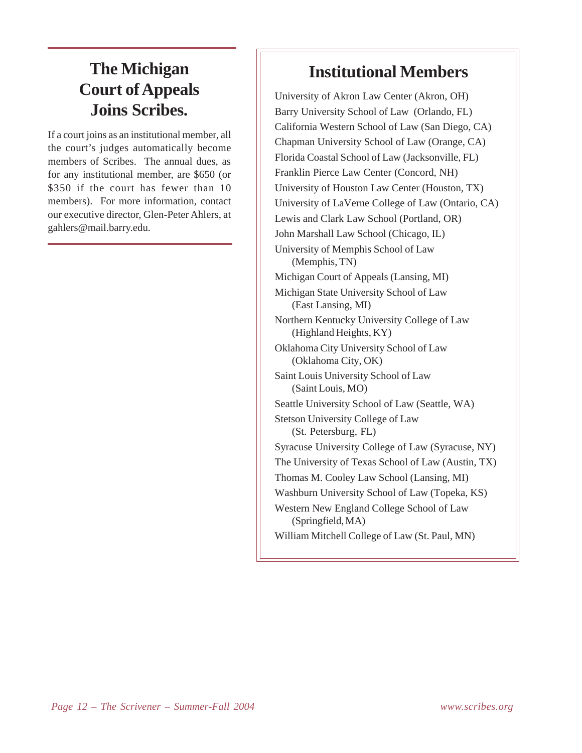# **The Michigan Court of Appeals Joins Scribes.**

If a court joins as an institutional member, all the court's judges automatically become members of Scribes. The annual dues, as for any institutional member, are \$650 (or \$350 if the court has fewer than 10 members). For more information, contact our executive director, Glen-Peter Ahlers, at gahlers@mail.barry.edu.

# **Institutional Members**

University of Akron Law Center (Akron, OH) Barry University School of Law (Orlando, FL) California Western School of Law (San Diego, CA) Chapman University School of Law (Orange, CA) Florida Coastal School of Law (Jacksonville, FL) Franklin Pierce Law Center (Concord, NH) University of Houston Law Center (Houston, TX) University of LaVerne College of Law (Ontario, CA) Lewis and Clark Law School (Portland, OR) John Marshall Law School (Chicago, IL) University of Memphis School of Law (Memphis, TN) Michigan Court of Appeals (Lansing, MI) Michigan State University School of Law (East Lansing, MI) Northern Kentucky University College of Law (Highland Heights, KY) Oklahoma City University School of Law (Oklahoma City, OK) Saint Louis University School of Law (Saint Louis, MO) Seattle University School of Law (Seattle, WA) Stetson University College of Law (St. Petersburg, FL) Syracuse University College of Law (Syracuse, NY) The University of Texas School of Law (Austin, TX) Thomas M. Cooley Law School (Lansing, MI) Washburn University School of Law (Topeka, KS) Western New England College School of Law (Springfield, MA) William Mitchell College of Law (St. Paul, MN)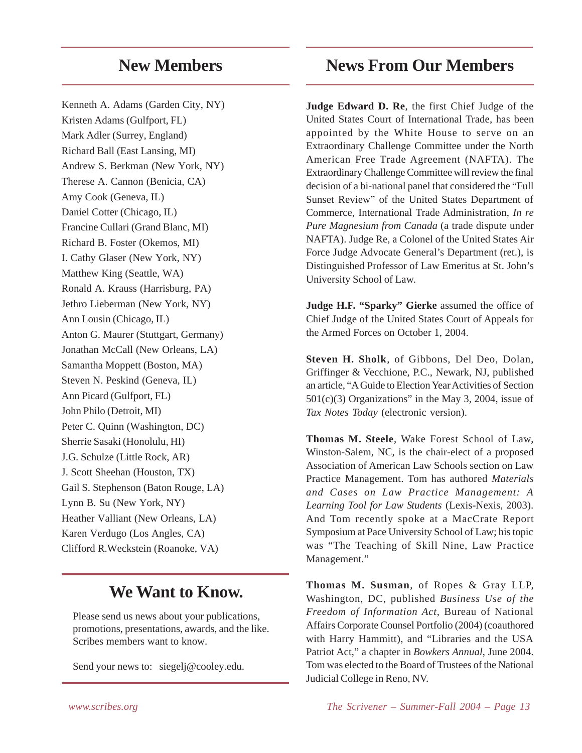Kenneth A. Adams (Garden City, NY) Kristen Adams (Gulfport, FL) Mark Adler (Surrey, England) Richard Ball (East Lansing, MI) Andrew S. Berkman (New York, NY) Therese A. Cannon (Benicia, CA) Amy Cook (Geneva, IL) Daniel Cotter (Chicago, IL) Francine Cullari (Grand Blanc, MI) Richard B. Foster (Okemos, MI) I. Cathy Glaser (New York, NY) Matthew King (Seattle, WA) Ronald A. Krauss (Harrisburg, PA) Jethro Lieberman (New York, NY) Ann Lousin (Chicago, IL) Anton G. Maurer (Stuttgart, Germany) Jonathan McCall (New Orleans, LA) Samantha Moppett (Boston, MA) Steven N. Peskind (Geneva, IL) Ann Picard (Gulfport, FL) John Philo (Detroit, MI) Peter C. Quinn (Washington, DC) Sherrie Sasaki (Honolulu, HI) J.G. Schulze (Little Rock, AR) J. Scott Sheehan (Houston, TX) Gail S. Stephenson (Baton Rouge, LA) Lynn B. Su (New York, NY) Heather Valliant (New Orleans, LA) Karen Verdugo (Los Angles, CA) Clifford R.Weckstein (Roanoke, VA)

# **We Want to Know.**

Please send us news about your publications, promotions, presentations, awards, and the like. Scribes members want to know.

Send your news to: siegelj@cooley.edu.

# **New Members News From Our Members**

**Judge Edward D. Re**, the first Chief Judge of the United States Court of International Trade, has been appointed by the White House to serve on an Extraordinary Challenge Committee under the North American Free Trade Agreement (NAFTA). The Extraordinary Challenge Committee will review the final decision of a bi-national panel that considered the "Full Sunset Review" of the United States Department of Commerce, International Trade Administration, *In re Pure Magnesium from Canada* (a trade dispute under NAFTA). Judge Re, a Colonel of the United States Air Force Judge Advocate General's Department (ret.), is Distinguished Professor of Law Emeritus at St. John's University School of Law.

**Judge H.F. "Sparky" Gierke** assumed the office of Chief Judge of the United States Court of Appeals for the Armed Forces on October 1, 2004.

**Steven H. Sholk**, of Gibbons, Del Deo, Dolan, Griffinger & Vecchione, P.C., Newark, NJ, published an article, "A Guide to Election Year Activities of Section  $501(c)(3)$  Organizations" in the May 3, 2004, issue of *Tax Notes Today* (electronic version).

**Thomas M. Steele**, Wake Forest School of Law, Winston-Salem, NC, is the chair-elect of a proposed Association of American Law Schools section on Law Practice Management. Tom has authored *Materials and Cases on Law Practice Management: A Learning Tool for Law Students* (Lexis-Nexis, 2003). And Tom recently spoke at a MacCrate Report Symposium at Pace University School of Law; his topic was "The Teaching of Skill Nine, Law Practice Management."

**Thomas M. Susman**, of Ropes & Gray LLP, Washington, DC, published *Business Use of the Freedom of Information Act*, Bureau of National Affairs Corporate Counsel Portfolio (2004) (coauthored with Harry Hammitt), and "Libraries and the USA Patriot Act," a chapter in *Bowkers Annual*, June 2004. Tom was elected to the Board of Trustees of the National Judicial College in Reno, NV.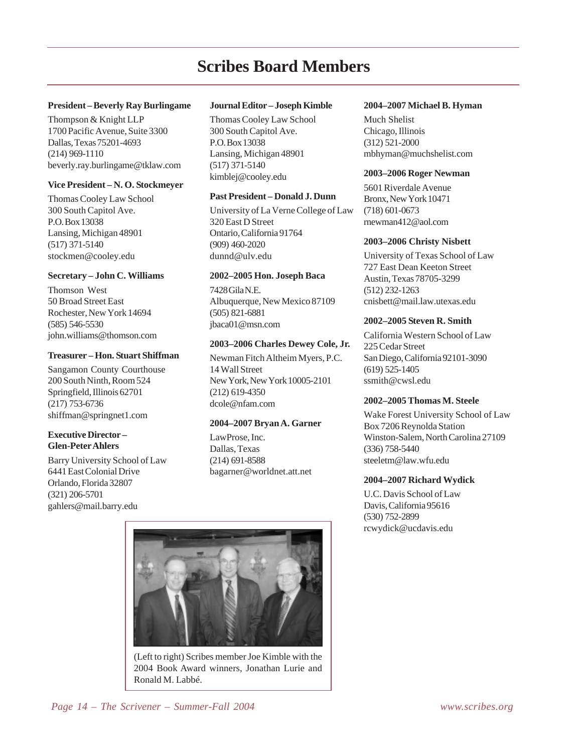# **Scribes Board Members**

### **President – Beverly Ray Burlingame**

Thompson & Knight LLP 1700 Pacific Avenue, Suite 3300 Dallas, Texas 75201-4693 (214) 969-1110 beverly.ray.burlingame@tklaw.com

### **Vice President – N. O. Stockmeyer**

Thomas Cooley Law School 300 South Capitol Ave. P.O. Box 13038 Lansing, Michigan 48901 (517) 371-5140 stockmen@cooley.edu

### **Secretary – John C. Williams**

Thomson West 50 Broad Street East Rochester, New York 14694 (585) 546-5530 john.williams@thomson.com

### **Treasurer – Hon. Stuart Shiffman**

Sangamon County Courthouse 200 South Ninth, Room 524 Springfield, Illinois 62701 (217) 753-6736 shiffman@springnet1.com

### **Executive Director – Glen-Peter Ahlers**

Barry University School of Law 6441 East Colonial Drive Orlando, Florida 32807 (321) 206-5701 gahlers@mail.barry.edu

### **Journal Editor – Joseph Kimble**

Thomas Cooley Law School 300 South Capitol Ave. P.O. Box 13038 Lansing, Michigan 48901 (517) 371-5140 kimblej@cooley.edu

### **Past President – Donald J. Dunn**

University of La Verne College of Law 320 East D Street Ontario, California 91764 (909) 460-2020 dunnd@ulv.edu

### **2002–2005 Hon. Joseph Baca**

7428 Gila N.E. Albuquerque, New Mexico 87109 (505) 821-6881 jbaca01@msn.com

### **2003–2006 Charles Dewey Cole, Jr.**

Newman Fitch Altheim Myers, P.C. 14 Wall Street New York, New York 10005-2101 (212) 619-4350 dcole@nfam.com

### **2004–2007 Bryan A. Garner**

LawProse, Inc. Dallas, Texas (214) 691-8588 bagarner@worldnet.att.net



(Left to right) Scribes member Joe Kimble with the 2004 Book Award winners, Jonathan Lurie and Ronald M. Labbé.

### **2004–2007 Michael B. Hyman**

Much Shelist Chicago, Illinois (312) 521-2000 mbhyman@muchshelist.com

### **2003–2006 Roger Newman**

5601 Riverdale Avenue Bronx, New York 10471 (718) 601-0673 rnewman412@aol.com

### **2003–2006 Christy Nisbett**

University of Texas School of Law 727 East Dean Keeton Street Austin, Texas 78705-3299 (512) 232-1263 cnisbett@mail.law.utexas.edu

### **2002–2005 Steven R. Smith**

California Western School of Law 225 Cedar Street San Diego, California 92101-3090 (619) 525-1405 ssmith@cwsl.edu

### **2002–2005 Thomas M. Steele**

Wake Forest University School of Law Box 7206 Reynolda Station Winston-Salem, North Carolina 27109 (336) 758-5440 steeletm@law.wfu.edu

### **2004–2007 Richard Wydick**

U.C. Davis School of Law Davis, California 95616 (530) 752-2899 rcwydick@ucdavis.edu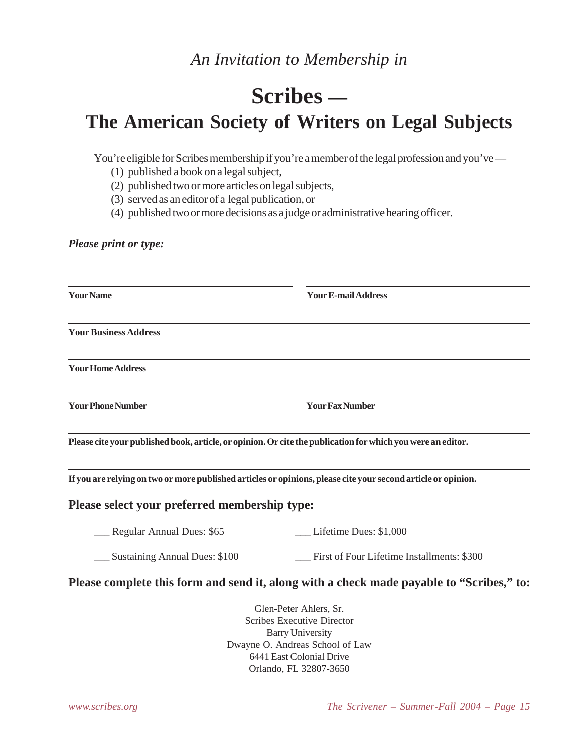# **Scribes — The American Society of Writers on Legal Subjects**

You're eligible for Scribes membership if you're a member of the legal profession and you've —

- (1) published a book on a legal subject,
- (2) published two or more articles on legal subjects,
- (3) served as an editor of a legal publication, or
- (4) published two or more decisions as a judge or administrative hearing officer.

*Please print or type:*

| <b>Your Name</b>                                                                                              | <b>Your E-mail Address</b>                                                                                                                            |
|---------------------------------------------------------------------------------------------------------------|-------------------------------------------------------------------------------------------------------------------------------------------------------|
| <b>Your Business Address</b>                                                                                  |                                                                                                                                                       |
| <b>Your Home Address</b>                                                                                      |                                                                                                                                                       |
| <b>Your Phone Number</b>                                                                                      | <b>Your Fax Number</b>                                                                                                                                |
| Please cite your published book, article, or opinion. Or cite the publication for which you were an editor.   |                                                                                                                                                       |
| If you are relying on two or more published articles or opinions, please cite your second article or opinion. |                                                                                                                                                       |
| Please select your preferred membership type:                                                                 |                                                                                                                                                       |
| _Regular Annual Dues: \$65                                                                                    | Lifetime Dues: \$1,000                                                                                                                                |
| Sustaining Annual Dues: \$100                                                                                 | First of Four Lifetime Installments: \$300                                                                                                            |
|                                                                                                               | Please complete this form and send it, along with a check made payable to "Scribes," to:                                                              |
|                                                                                                               | Glen-Peter Ahlers, Sr.<br><b>Scribes Executive Director</b><br><b>Barry University</b><br>Dwayne O. Andreas School of Law<br>6441 East Colonial Drive |

Orlando, FL 32807-3650